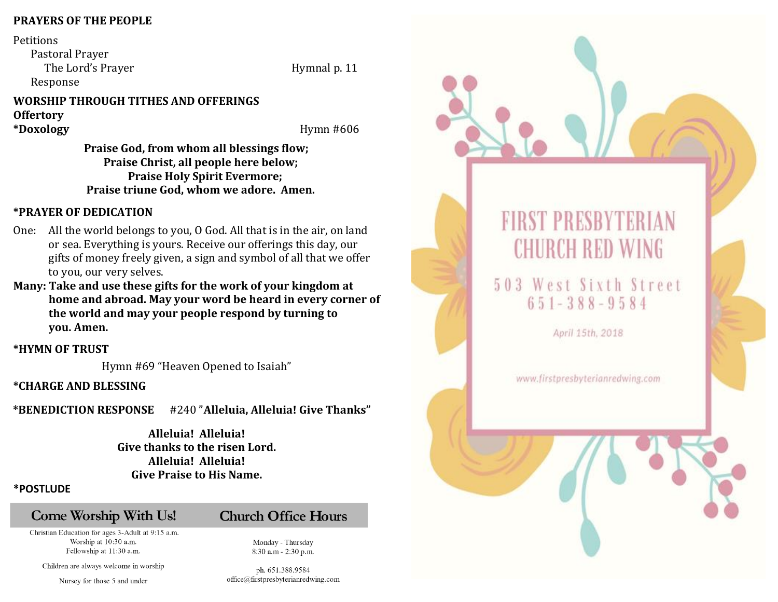#### **PRAYERS OF THE PEOPLE**

Petitions

Pastoral Prayer The Lord's Prayer **Hymnal p. 11** Response

**WORSHIP THROUGH TITHES AND OFFERINGS Offertory \*Doxology** Hymn #606

**Praise God, from whom all blessings flow; Praise Christ, all people here below; Praise Holy Spirit Evermore; Praise triune God, whom we adore. Amen.**

#### **\*PRAYER OF DEDICATION**

- One: All the world belongs to you, O God. All that is in the air, on land or sea. Everything is yours. Receive our offerings this day, our gifts of money freely given, a sign and symbol of all that we offer to you, our very selves.
- **Many: Take and use these gifts for the work of your kingdom at home and abroad. May your word be heard in every corner of the world and may your people respond by turning to you. Amen.**

#### **\*HYMN OF TRUST**

Hymn #69 "Heaven Opened to Isaiah"

#### **\*CHARGE AND BLESSING**

**\*BENEDICTION RESPONSE** #240 "**Alleluia, Alleluia! Give Thanks"**

**Alleluia! Alleluia! Give thanks to the risen Lord. Alleluia! Alleluia! Give Praise to His Name.**

#### **\*POSTLUDE**

# Come Worship With Us!

### **Church Office Hours**

Christian Education for ages 3-Adult at 9:15 a.m. Worship at 10:30 a.m. Fellowship at 11:30 a.m.

Children are always welcome in worship

Nursey for those 5 and under

Monday - Thursday 8:30 a.m - 2:30 p.m.

ph. 651.388.9584 office@firstpresbyterianredwing.com

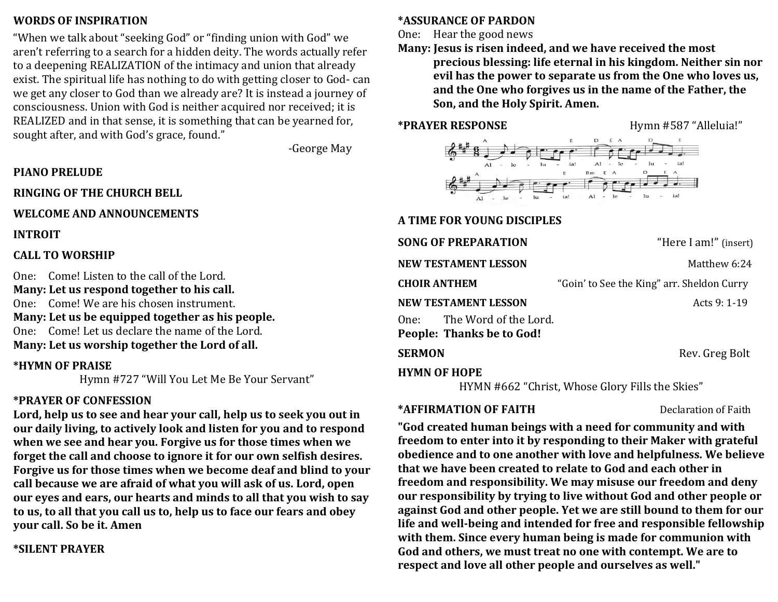#### **WORDS OF INSPIRATION**

"When we talk about "seeking God" or "finding union with God" we aren't referring to a search for a hidden deity. The words actually refer to a deepening REALIZATION of the intimacy and union that already exist. The spiritual life has nothing to do with getting closer to God- can we get any closer to God than we already are? It is instead a journey of consciousness. Union with God is neither acquired nor received; it is REALIZED and in that sense, it is something that can be yearned for, sought after, and with God's grace, found."

-George May

#### **PIANO PRELUDE**

**RINGING OF THE CHURCH BELL**

**WELCOME AND ANNOUNCEMENTS**

**INTROIT** 

#### **CALL TO WORSHIP**

One: Come! Listen to the call of the Lord. **Many: Let us respond together to his call.** One: Come! We are his chosen instrument. **Many: Let us be equipped together as his people.** One: Come! Let us declare the name of the Lord. **Many: Let us worship together the Lord of all.**

#### **\*HYMN OF PRAISE**

Hymn #727 "Will You Let Me Be Your Servant"

#### **\*PRAYER OF CONFESSION**

**Lord, help us to see and hear your call, help us to seek you out in our daily living, to actively look and listen for you and to respond when we see and hear you. Forgive us for those times when we forget the call and choose to ignore it for our own selfish desires. Forgive us for those times when we become deaf and blind to your call because we are afraid of what you will ask of us. Lord, open our eyes and ears, our hearts and minds to all that you wish to say to us, to all that you call us to, help us to face our fears and obey your call. So be it. Amen**

#### **\*SILENT PRAYER**

#### **\*ASSURANCE OF PARDON**

One: Hear the good news

**Many: Jesus is risen indeed, and we have received the most precious blessing: life eternal in his kingdom. Neither sin nor evil has the power to separate us from the One who loves us, and the One who forgives us in the name of the Father, the Son, and the Holy Spirit. Amen.**

**\*PRAYER RESPONSE** Hymn #587 "Alleluia!"



#### **A TIME FOR YOUNG DISCIPLES**

| <b>SONG OF PREPARATION</b>                              | "Here I am!" (insert)                      |
|---------------------------------------------------------|--------------------------------------------|
| NEW TESTAMENT LESSON                                    | Matthew 6:24                               |
| <b>CHOIR ANTHEM</b>                                     | "Goin' to See the King" arr. Sheldon Curry |
| NEW TESTAMENT LESSON                                    | Acts 9: 1-19                               |
| One: The Word of the Lord.<br>People: Thanks be to God! |                                            |
| <b>SERMON</b>                                           | Rev. Greg Bolt                             |
| HYMN OF HOPE                                            |                                            |

HYMN #662 "Christ, Whose Glory Fills the Skies"

#### **\*AFFIRMATION OF FAITH** Declaration of Faith

**"God created human beings with a need for community and with freedom to enter into it by responding to their Maker with grateful obedience and to one another with love and helpfulness. We believe that we have been created to relate to God and each other in freedom and responsibility. We may misuse our freedom and deny our responsibility by trying to live without God and other people or against God and other people. Yet we are still bound to them for our life and well-being and intended for free and responsible fellowship with them. Since every human being is made for communion with God and others, we must treat no one with contempt. We are to respect and love all other people and ourselves as well."**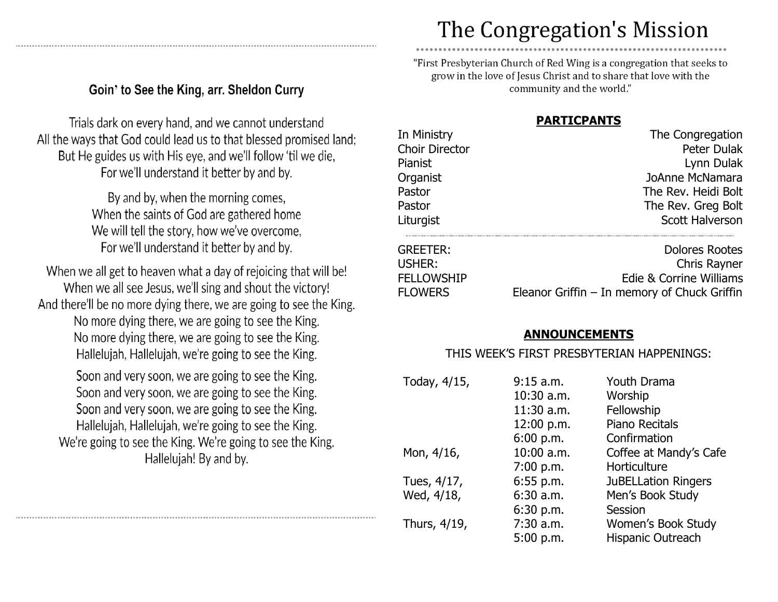# The Congregation's Mission

"First Presbyterian Church of Red Wing is a congregation that seeks to grow in the love of Jesus Christ and to share that love with the community and the world."

#### **PARTICPANTS**

| III PIIIIISU Y        |
|-----------------------|
| <b>Choir Director</b> |
| Pianist               |
| Organist              |
| Pastor                |
| Pastor                |
| Liturgist             |
|                       |
| <b>GREETER</b>        |

In Ministry **The Congregation** Peter Dulak Lynn Dulak JoAnne McNamara The Rev. Heidi Bolt The Rev. Greg Bolt Scott Halverson

| GREETER:          | <b>Dolores Rootes</b>                          |
|-------------------|------------------------------------------------|
| USHER:            | <b>Chris Rayner</b>                            |
| <b>FELLOWSHIP</b> | Edie & Corrine Williams                        |
| <b>FLOWERS</b>    | Eleanor Griffin $-$ In memory of Chuck Griffin |
|                   |                                                |

#### **ANNOUNCEMENTS**

#### THIS WEEK'S FIRST PRESBYTERIAN HAPPENINGS:

| Today, 4/15, | 9:15 a.m.    | Youth Drama                |
|--------------|--------------|----------------------------|
|              | $10:30$ a.m. | Worship                    |
|              | $11:30$ a.m. | Fellowship                 |
|              | 12:00 p.m.   | Piano Recitals             |
|              | 6:00 p.m.    | Confirmation               |
| Mon, 4/16,   | $10:00$ a.m. | Coffee at Mandy's Cafe     |
|              | 7:00 p.m.    | Horticulture               |
| Tues, 4/17,  | 6:55 p.m.    | <b>JuBELLation Ringers</b> |
| Wed, 4/18,   | $6:30$ a.m.  | Men's Book Study           |
|              | 6:30 p.m.    | Session                    |
| Thurs, 4/19, | $7:30$ a.m.  | Women's Book Study         |
|              | 5:00 p.m.    | Hispanic Outreach          |

## Goin' to See the King, arr. Sheldon Curry

Trials dark on every hand, and we cannot understand All the ways that God could lead us to that blessed promised land; But He guides us with His eye, and we'll follow 'til we die, For we'll understand it better by and by.

> By and by, when the morning comes, When the saints of God are gathered home We will tell the story, how we've overcome. For we'll understand it better by and by.

When we all get to heaven what a day of rejoicing that will be! When we all see Jesus, we'll sing and shout the victory! And there'll be no more dying there, we are going to see the King. No more dying there, we are going to see the King.

> No more dying there, we are going to see the King. Hallelujah, Hallelujah, we're going to see the King.

Soon and very soon, we are going to see the King. Soon and very soon, we are going to see the King. Soon and very soon, we are going to see the King. Hallelujah, Hallelujah, we're going to see the King. We're going to see the King. We're going to see the King. Hallelujah! By and by.